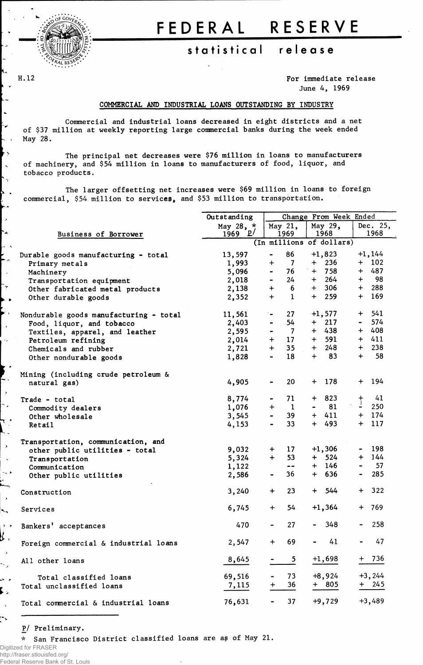

ŕ۰

 $\overline{\phantom{a}}$ 

۰.

 $\rightarrow$ ∼.

 $\rightarrow$ 

٣

## **FEDERA L RESERV E**

## **statistica l releas e**

H.12 For immediate release June 4, 1969

## COMMERCIAL AND INDUSTRIAL LOANS OUTSTANDING BY INDUSTRY

Commercial and industrial loans decreased in eight districts and a net of \$37 million at weekly reporting large commercial banks during the week ended May 28.

The principal net decreases were \$76 million in loans to manufacturers of machinery, and \$54 million in loans to manufacturers of food, liquor, and tobacco products.

The larger offsetting net increases were \$69 million in loans to foreign commercial, \$54 million to services, and \$53 million to transportation.

|                       |                                        | Outstanding | Change From Week Ended |                          |                |          |                |           |  |  |
|-----------------------|----------------------------------------|-------------|------------------------|--------------------------|----------------|----------|----------------|-----------|--|--|
|                       |                                        | May 28, *   |                        | May 21,                  | May 29,        |          |                | Dec. 25,  |  |  |
|                       | Business of Borrower                   | 1969 $P'$   |                        | 1969                     |                | 1968     |                | 1968      |  |  |
| - 5                   |                                        |             |                        | (In millions of dollars) |                |          |                |           |  |  |
|                       | Durable goods manufacturing - total    | 13,597      | $\blacksquare$         | 86                       |                | $+1,823$ |                | $+1,144$  |  |  |
| الجواء                | Primary metals                         | 1,993       | $+$                    | $\overline{7}$           |                | $+$ 236  |                | $+ 102$   |  |  |
|                       | Machinery                              | 5,096       | $\blacksquare$         | 76                       |                | $+ 758$  |                | $+ 487$   |  |  |
|                       | Transportation equipment               | 2,018       | $\blacksquare$         | 24                       |                | $+ 264$  |                | $+$ 98    |  |  |
| Y                     | Other fabricated metal products        | 2,138       | $+$                    | 6                        |                | $+ 306$  |                | $+ 288$   |  |  |
|                       | Other durable goods                    | 2,352       | $+$                    | $\mathbf 1$              |                | $+ 259$  |                | $+ 169$   |  |  |
| $\bullet$             |                                        |             |                        |                          |                |          |                |           |  |  |
| $\bar{r}$             | Nondurable goods manufacturing - total | 11,561      | ter.                   | 27                       |                | $+1,577$ |                | $+ 541$   |  |  |
| s.                    | Food, liquor, and tobacco              | 2,403       | $\blacksquare$         | 54                       |                | $+$ 217  |                | $-574$    |  |  |
|                       | Textiles, apparel, and leather         | 2,595       | $\blacksquare$         | $\overline{7}$           |                | $+ 438$  |                | $+ 408$   |  |  |
| y.                    | Petroleum refining                     | 2,014       | $+$                    | 17 <sup>2</sup>          |                | $+$ 591  |                | $+ 411$   |  |  |
|                       | Chemicals and rubber                   | 2,721       | $+$                    | 35 <sub>2</sub>          | $+$            | 248      |                | $+ 238$   |  |  |
|                       | Other nondurable goods                 | 1,828       | $\blacksquare$         | 18                       |                | $+$ 83   |                | $+$ 58    |  |  |
|                       |                                        |             |                        |                          |                |          |                |           |  |  |
|                       | Mining (including crude petroleum &    |             |                        |                          |                |          |                |           |  |  |
|                       | natural gas)                           | 4,905       |                        | 20                       |                | $+ 178$  |                | $+ 194$   |  |  |
| <sup>z</sup>          |                                        |             |                        |                          |                |          |                |           |  |  |
|                       | Trade - total                          | 8,774       | $\sim$ 100 $\pm$       | 71                       |                | $+ 823$  | $\frac{+}{1}$  | 41        |  |  |
| $\pmb{\star}$         | Commodity dealers                      | 1,076       | $+$                    | $\mathbf{1}$             | $\blacksquare$ | 81       |                | 250       |  |  |
|                       | Other wholesale                        | 3,545       | $\blacksquare$         | 39                       |                | $+ 411$  |                | $+ 174$   |  |  |
|                       | <b>Retail</b>                          | 4,153       |                        | 33 <sup>2</sup>          |                | $+ 493$  |                | $+ 117$   |  |  |
|                       |                                        |             |                        |                          |                |          |                |           |  |  |
| X                     | Transportation, communication, and     |             |                        |                          |                |          |                |           |  |  |
|                       | other public utilities - total         | 9,032       | $+$                    | 17                       |                | $+1,306$ |                | $-198$    |  |  |
| $\bar{\mathbf{v}}$    | Transportation                         | 5,324       | $+$                    | 53                       |                | $+ 524$  |                | $+ 144$   |  |  |
|                       | Communication                          | 1,122       |                        | $\frac{1}{2}$            |                | $+ 146$  |                | $-57$     |  |  |
| k. K                  | Other public utilities                 | 2,586       |                        | 36                       |                | $+ 636$  | $\blacksquare$ | 285       |  |  |
|                       |                                        | 3,240       | $+$                    | 23                       |                | $+ 544$  | $+$            | 322       |  |  |
| ×                     | Construction                           |             |                        |                          |                |          |                |           |  |  |
| ÷.                    | Services                               | 6,745       | $+$                    | 54                       |                | $+1,364$ |                | + 769     |  |  |
|                       |                                        |             |                        |                          |                |          |                |           |  |  |
| $\rightarrow$         | Bankers' acceptances                   | 470         |                        | 27                       | $\blacksquare$ | 348      |                | 258       |  |  |
|                       |                                        |             |                        |                          |                |          |                |           |  |  |
|                       | Foreign commercial & industrial loans  | 2,547       |                        | 69                       |                | 41       |                | 47        |  |  |
| ر                     |                                        |             |                        |                          |                |          |                |           |  |  |
| ×                     | All other loans                        | 8,645       |                        | 5                        |                | $+1,698$ |                | $+ 736$   |  |  |
|                       |                                        | 69,516      |                        | 73                       |                | $+8,924$ |                | $+3, 244$ |  |  |
| $\blacktriangleright$ | Total classified loans                 |             | $^{+}$                 | 36                       |                | $+ 805$  |                | + 245     |  |  |
| ⋗                     | Total unclassified loans               | 7,115       |                        |                          |                |          |                |           |  |  |
|                       | Total commercial & industrial loans    | 76,631      |                        | 37                       |                | $+9,729$ |                | $+3,489$  |  |  |
|                       |                                        |             |                        |                          |                |          |                |           |  |  |

P/ Preliminary.

\* San Francisco District classified loans are as of May 21.

Digitized for FRASER http://fraser.stlouisfed.org/ Federal Reserve Bank of St. Louis